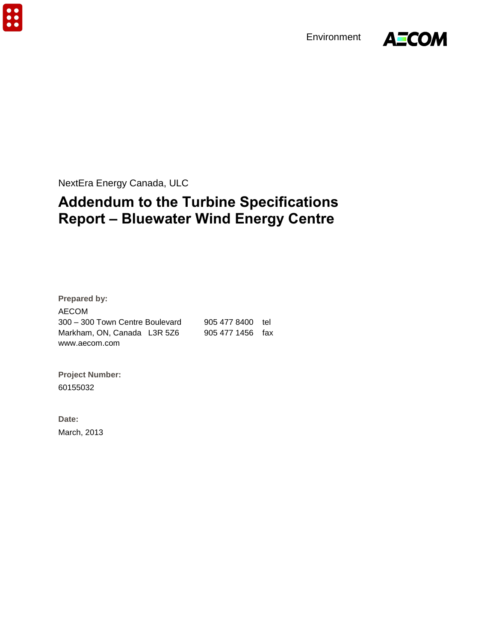$\ddot{\bullet}$ 

Environment



NextEra Energy Canada, ULC

# **Addendum to the Turbine Specifications Report – Bluewater Wind Energy Centre**

**Prepared by:**  AECOM 300 – 300 Town Centre Boulevard 905 477 8400 tel Markham, ON, Canada L3R 5Z6 905 477 1456 fax www.aecom.com

**Project Number:**  60155032

**Date:**  March, 2013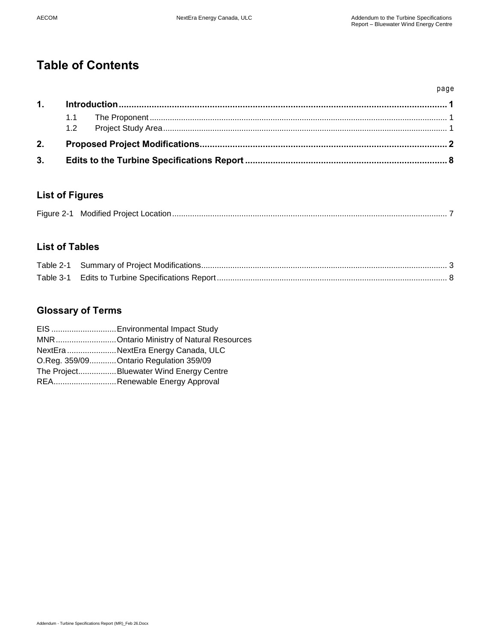# **Table of Contents**

|    |  | page |
|----|--|------|
| 1. |  |      |
|    |  |      |
|    |  |      |
| 2. |  |      |
| 3. |  |      |

## **List of Figures**

|--|--|--|

# **List of Tables**

## **Glossary of Terms**

| EIS  Environmental Impact Study          |
|------------------------------------------|
| MNROntario Ministry of Natural Resources |
| NextEra NextEra Energy Canada, ULC       |
| O.Reg. 359/09 Ontario Regulation 359/09  |
| The ProjectBluewater Wind Energy Centre  |
| REARenewable Energy Approval             |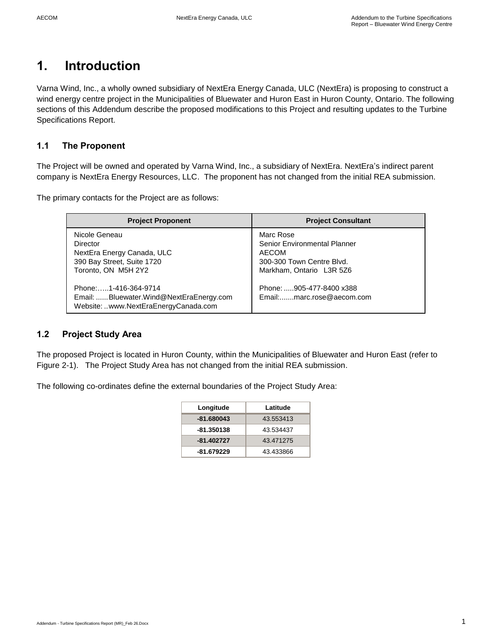# <span id="page-4-0"></span>**1. Introduction**

Varna Wind, Inc., a wholly owned subsidiary of NextEra Energy Canada, ULC (NextEra) is proposing to construct a wind energy centre project in the Municipalities of Bluewater and Huron East in Huron County, Ontario. The following sections of this Addendum describe the proposed modifications to this Project and resulting updates to the Turbine Specifications Report.

### <span id="page-4-1"></span>**1.1 The Proponent**

The Project will be owned and operated by Varna Wind, Inc., a subsidiary of NextEra. NextEra's indirect parent company is NextEra Energy Resources, LLC. The proponent has not changed from the initial REA submission.

The primary contacts for the Project are as follows:

| <b>Project Proponent</b>                                                                                     | <b>Project Consultant</b>                                                                                          |
|--------------------------------------------------------------------------------------------------------------|--------------------------------------------------------------------------------------------------------------------|
| Nicole Geneau<br>Director<br>NextEra Energy Canada, ULC<br>390 Bay Street, Suite 1720<br>Toronto, ON M5H 2Y2 | Marc Rose<br>Senior Environmental Planner<br><b>AECOM</b><br>300-300 Town Centre Blvd.<br>Markham, Ontario L3R 5Z6 |
| Phone:1-416-364-9714<br>Email: Bluewater.Wind@NextEraEnergy.com<br>Website: www.NextEraEnergyCanada.com      | Phone: 905-477-8400 x388<br>Email:marc.rose@aecom.com                                                              |

### <span id="page-4-2"></span>**1.2 Project Study Area**

The proposed Project is located in Huron County, within the Municipalities of Bluewater and Huron East (refer to Figure 2-1). The Project Study Area has not changed from the initial REA submission.

The following co-ordinates define the external boundaries of the Project Study Area:

| Longitude    | Latitude  |
|--------------|-----------|
| $-81.680043$ | 43.553413 |
| -81.350138   | 43.534437 |
| $-81.402727$ | 43.471275 |
| -81.679229   | 43.433866 |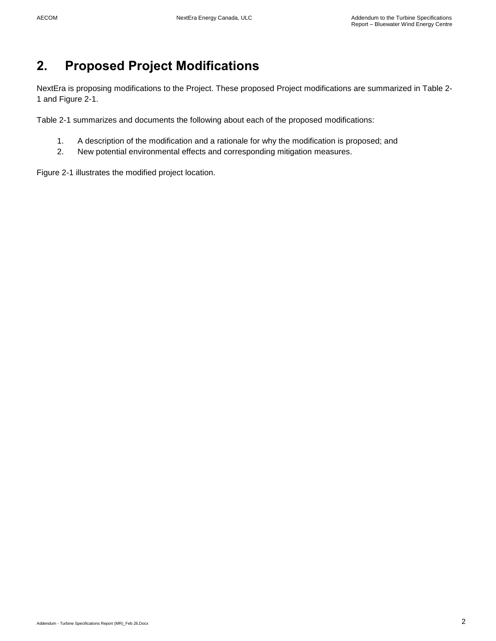# <span id="page-5-0"></span>**2. Proposed Project Modifications**

NextEra is proposing modifications to the Project. These proposed Project modifications are summarized in Table 2- 1 and Figure 2-1.

Table 2-1 summarizes and documents the following about each of the proposed modifications:

- 1. A description of the modification and a rationale for why the modification is proposed; and
- 2. New potential environmental effects and corresponding mitigation measures.

Figure 2-1 illustrates the modified project location.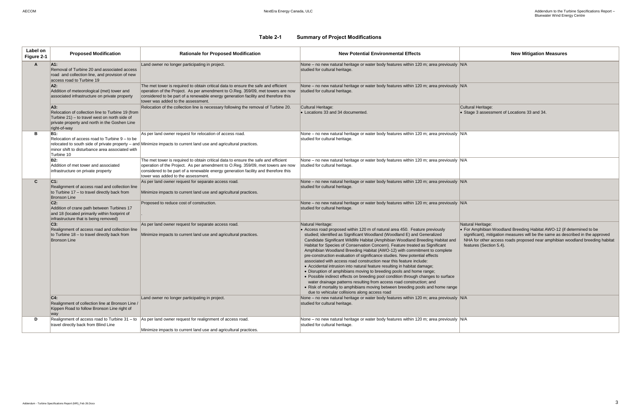**Iral Heritage:** age 3 assessment of Locations 33 and 34.

### **Table 2-1 Summary of Project Modifications**

 For Amphibian Woodland Breeding Habitat AWO-12 (if determined to be significant), mitigation measures will be the same as described in the approved NHA for other access roads proposed near amphibian woodland breeding habitat atures (Section 5.4).

<span id="page-6-0"></span>

| Label on<br>Figure 2-1 | <b>Proposed Modification</b>                                                                                                                                               | <b>Rationale for Proposed Modification</b>                                                                                                                                                                                                                                                        | <b>New Potential Environmental Effects</b>                                                                                                                                                                                                                                                                                                                                                                                                                                                                                                                                                                                                                                                                                                                                                                                                                                                                                                                                                                                          |                                                    |
|------------------------|----------------------------------------------------------------------------------------------------------------------------------------------------------------------------|---------------------------------------------------------------------------------------------------------------------------------------------------------------------------------------------------------------------------------------------------------------------------------------------------|-------------------------------------------------------------------------------------------------------------------------------------------------------------------------------------------------------------------------------------------------------------------------------------------------------------------------------------------------------------------------------------------------------------------------------------------------------------------------------------------------------------------------------------------------------------------------------------------------------------------------------------------------------------------------------------------------------------------------------------------------------------------------------------------------------------------------------------------------------------------------------------------------------------------------------------------------------------------------------------------------------------------------------------|----------------------------------------------------|
| A                      | A1:<br>Removal of Turbine 20 and associated access<br>road and collection line, and provision of new<br>access road to Turbine 19                                          | Land owner no longer participating in project.                                                                                                                                                                                                                                                    | None - no new natural heritage or water body features within 120 m; area previously N/A<br>studied for cultural heritage.                                                                                                                                                                                                                                                                                                                                                                                                                                                                                                                                                                                                                                                                                                                                                                                                                                                                                                           |                                                    |
|                        | A2:<br>Addition of meteorological (met) tower and<br>associated infrastructure on private property                                                                         | The met tower is required to obtain critical data to ensure the safe and efficient<br>operation of the Project. As per amendment to O.Reg. 359/09, met towers are now<br>considered to be part of a renewable energy generation facility and therefore this<br>tower was added to the assessment. | None – no new natural heritage or water body features within 120 m; area previously N/A<br>studied for cultural heritage.                                                                                                                                                                                                                                                                                                                                                                                                                                                                                                                                                                                                                                                                                                                                                                                                                                                                                                           |                                                    |
|                        | A3.<br>Relocation of collection line to Turbine 19 (from<br>Turbine 21) – to travel west on north side of<br>private property and north in the Goshen Line<br>right-of-way | Relocation of the collection line is necessary following the removal of Turbine 20.                                                                                                                                                                                                               | Cultural Heritage:<br>• Locations 33 and 34 documented.                                                                                                                                                                                                                                                                                                                                                                                                                                                                                                                                                                                                                                                                                                                                                                                                                                                                                                                                                                             | Cultu<br>$\bullet$ Sta                             |
| в                      | <b>B1:</b><br>Relocation of access road to Turbine 9 - to be<br>minor shift to disturbance area associated with<br>Turbine 10                                              | As per land owner request for relocation of access road.<br>relocated to south side of private property - and Minimize impacts to current land use and agricultural practices.                                                                                                                    | None – no new natural heritage or water body features within 120 m; area previously N/A<br>studied for cultural heritage.                                                                                                                                                                                                                                                                                                                                                                                                                                                                                                                                                                                                                                                                                                                                                                                                                                                                                                           |                                                    |
|                        | <b>B2:</b><br>Addition of met tower and associated<br>infrastructure on private property                                                                                   | The met tower is required to obtain critical data to ensure the safe and efficient<br>operation of the Project. As per amendment to O.Reg. 359/09, met towers are now<br>considered to be part of a renewable energy generation facility and therefore this<br>tower was added to the assessment. | None – no new natural heritage or water body features within 120 m; area previously N/A<br>studied for cultural heritage.                                                                                                                                                                                                                                                                                                                                                                                                                                                                                                                                                                                                                                                                                                                                                                                                                                                                                                           |                                                    |
| $\mathbf{C}$           | $C1$ :<br>Realignment of access road and collection line<br>to Turbine 17 - to travel directly back from<br><b>Bronson Line</b>                                            | As per land owner request for separate access road.<br>Minimize impacts to current land use and agricultural practices.                                                                                                                                                                           | None – no new natural heritage or water body features within 120 m; area previously $ N/A $<br>studied for cultural heritage.                                                                                                                                                                                                                                                                                                                                                                                                                                                                                                                                                                                                                                                                                                                                                                                                                                                                                                       |                                                    |
|                        | $C2$ :<br>Addition of crane path between Turbines 17<br>and 18 (located primarily within footprint of<br>infrastructure that is being removed)                             | Proposed to reduce cost of construction.                                                                                                                                                                                                                                                          | None – no new natural heritage or water body features within 120 m; area previously N/A<br>studied for cultural heritage.                                                                                                                                                                                                                                                                                                                                                                                                                                                                                                                                                                                                                                                                                                                                                                                                                                                                                                           |                                                    |
|                        | C3:<br>Realignment of access road and collection line<br>to Turbine 18 - to travel directly back from<br><b>Bronson Line</b>                                               | As per land owner request for separate access road.<br>Minimize impacts to current land use and agricultural practices.                                                                                                                                                                           | Natural Heritage:<br>• Access road proposed within 120 m of natural area 450. Feature previously<br>studied; identified as Significant Woodland (Woodland E) and Generalized<br>Candidate Significant Wildlife Habitat (Amphibian Woodland Breeding Habitat and<br>Habitat for Species of Conservation Concern). Feature treated as Significant<br>Amphibian Woodland Breeding Habitat (AWO-12) with commitment to complete<br>pre-construction evaluation of significance studies. New potential effects<br>associated with access road construction near this feature include:<br>• Accidental intrusion into natural feature resulting in habitat damage;<br>• Disruption of amphibians moving to breeding pools and home range;<br>• Possible indirect effects on breeding pool condition through changes to surface<br>water drainage patterns resulting from access road construction; and<br>• Risk of mortality to amphibians moving between breeding pools and home range<br>due to vehicular collisions along access road | Natur<br>$\bullet$ For<br>sigi<br><b>NH</b><br>fea |
|                        | C4.<br>Realignment of collection line at Bronson Line /<br>Kippen Road to follow Bronson Line right of<br>way                                                              | Land owner no longer participating in project.                                                                                                                                                                                                                                                    | None – no new natural heritage or water body features within 120 m; area previously $ N/A $<br>studied for cultural heritage.                                                                                                                                                                                                                                                                                                                                                                                                                                                                                                                                                                                                                                                                                                                                                                                                                                                                                                       |                                                    |
| D                      | Realignment of access road to Turbine 31 - to<br>travel directly back from Blind Line                                                                                      | As per land owner request for realignment of access road.<br>Minimize impacts to current land use and agricultural practices.                                                                                                                                                                     | None – no new natural heritage or water body features within 120 m; area previously N/A<br>studied for cultural heritage.                                                                                                                                                                                                                                                                                                                                                                                                                                                                                                                                                                                                                                                                                                                                                                                                                                                                                                           |                                                    |

Natural Heritage: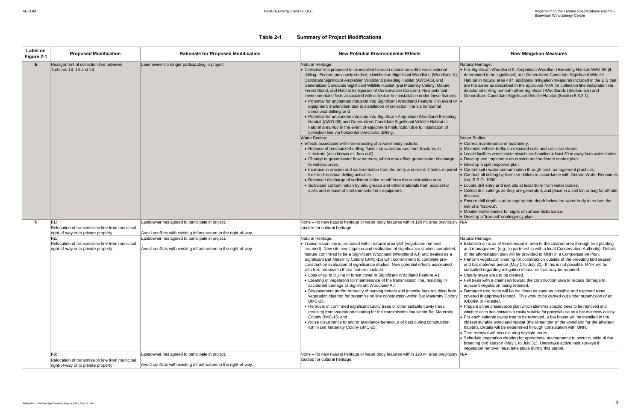#### Heritage:

Significant Woodland K, Amphibian Woodland Breeding Habitat AWO-06 (if mined to be significant) and Generalized Candidate Significant Wildlife tat in natural area 487, additional mitigation measures included in the EIS that he same as described in the approved NHA for collection line installation via tional drilling beneath other Significant Woodlands (Section 5.5) and eralized Candidate Significant Wildlife Habitat (Section 5.3.2.1).

Bodies:

ect maintenance of machinery.

- nize vehicle traffic on exposed soils and sensitive slopes.
- le facilities where contaminants are handled at least 30 m away from water bodies. lop and implement an erosion and sediment control plan.
- lop a spill response plan.
- rol soil / water contamination through best management practices.
- luct all drilling by licensed drillers in accordance with Ontario Water Resources R.S.O. 1990.
- te drill entry and exit pits at least 30 m from water bodies.
- ect drill cuttings as they are generated, and place in a soil bin or bag for off-site disposal.
	- Ire drill depth is at an appropriate depth below the water body to reduce the of a 'frac-out'.
	- tor water bodies for signs of surface disturbance.
	- lop a 'frac-out' contingency plan.

**Heritage:** 

- blish an area of forest equal in area to the cleared area through tree planting management (e.g., in partnership with a local Conservation Authority). Details e afforestation plan will be provided to MNR in a Compensation Plan. orm vegetation clearing for construction outside of the breeding bird season bat maternal period (May 1 to July 31). If this is not possible, MNR will be
- ulted regarding mitigation measures that may be required.
- arly stake area to be cleared.
- trees with a chainsaw toward the construction area to reduce damage to cent vegetation being retained.
- aged tree roots will be cut clean as soon as possible and exposed roots red in approved topsoil. This work to be carried out under supervision of an rist or Forester.
- bare a tree preservation plan which identifies specific trees to be removed and ther each tree contains a cavity suitable for potential use as a bat maternity colony. each suitable cavity tree to be removed, a bat house will be installed in the est suitable woodland habitat (the remainder of the woodland for the affected itat). Details will be determined through consultation with MNR.
- e removal will occur during daylight hours.
- edule vegetation clearing for operational maintenance to occur outside of the ding bird season (May 1 to July 31). Undertake active nest surveys if tation removal must take place during this period.

#### **Table 2-1 Summary of Project Modifications**

| Label on<br>Figure 2-1 | <b>Proposed Modification</b>                                                                | <b>Rationale for Proposed Modification</b>                                                                           | <b>New Potential Environmental Effects</b>                                                                                                                                                                                                                                                                                                                                                                                                                                                                                                                                                                                                                                                                                                                                                                                                                                                                                                                                                                                                                                                                                                                                                                                       |                                                                                                                                                                                                                                                                             |
|------------------------|---------------------------------------------------------------------------------------------|----------------------------------------------------------------------------------------------------------------------|----------------------------------------------------------------------------------------------------------------------------------------------------------------------------------------------------------------------------------------------------------------------------------------------------------------------------------------------------------------------------------------------------------------------------------------------------------------------------------------------------------------------------------------------------------------------------------------------------------------------------------------------------------------------------------------------------------------------------------------------------------------------------------------------------------------------------------------------------------------------------------------------------------------------------------------------------------------------------------------------------------------------------------------------------------------------------------------------------------------------------------------------------------------------------------------------------------------------------------|-----------------------------------------------------------------------------------------------------------------------------------------------------------------------------------------------------------------------------------------------------------------------------|
| E.                     | Realignment of collection line between<br>Turbines 13, 14 and 24                            | Land owner no longer participating in project                                                                        | Natural Heritage:<br>Collection line proposed to be installed beneath natural area 487 via directional<br>drilling. Feature previously studied; identified as Significant Woodland (Woodland K),<br>Candidate Significant Amphibian Woodland Breeding Habitat (AWO-06), and<br>Generalized Candidate Significant Wildlife Habitat (Bat Maternity Colony, Mature<br>Forest Stand, and Habitat for Species of Conservation Concern). New potential<br>environmental effects associated with collection line installation under these features:<br>• Potential for unplanned intrusion into Significant Woodland Feature K in event of  •<br>equipment malfunction due to installation of collection line via horizontal<br>directional drilling; and<br>• Potential for unplanned intrusion into Significant Amphibian Woodland Breeding<br>Habitat (AWO-06) and Generalized Candidate Significant Wildlife Habitat in<br>natural area 487 in the event of equipment malfunction due to installation of<br>collection line via horizontal directional drilling.                                                                                                                                                                    | Natural<br>$\bullet$ For S<br>deter<br>Habit<br>are th<br>direc<br>Gene                                                                                                                                                                                                     |
|                        |                                                                                             |                                                                                                                      | <b>Water Bodies:</b><br>• Effects associated with new crossing of a water body include:<br>• Release of pressurized drilling fluids into watercourses from fractures in<br>substrate (also known as 'frac-out').<br>• Change to groundwater flow patterns, which may affect groundwater discharge<br>to watercourses.<br>• Increase in erosion and sedimentation from the entry and exit drill holes required<br>for the directional drilling activities.<br>• Release / discharge of sediment laden runoff from the construction area.<br>• Soil/water contamination by oils, grease and other materials from accidental<br>spills and release of contaminants from equipment.                                                                                                                                                                                                                                                                                                                                                                                                                                                                                                                                                  | Water I<br>$\bullet$ Corre<br>• Minin<br>$\bullet$ Locat<br>$\bullet$ Deve<br>$\bullet$ Deve<br>$\bullet$ Conti<br>$\bullet$ Conc<br>Act, R<br>$\bullet$ Loca<br>• Colle<br>dispo<br>$\bullet$ Ensu<br>risk c<br>• Moni<br>$\bullet$ Deve                                   |
| F.                     | F1:<br>Relocation of transmission line from municipal<br>right-of-way onto private property | Landowner has agreed to participate in project.<br>Avoid conflicts with existing infrastructure in the right-of-way. | None - no new natural heritage or water body features within 120 m; area previously N/A<br>studied for cultural heritage.                                                                                                                                                                                                                                                                                                                                                                                                                                                                                                                                                                                                                                                                                                                                                                                                                                                                                                                                                                                                                                                                                                        |                                                                                                                                                                                                                                                                             |
|                        | F2:<br>Relocation of transmission line from municipal<br>right-of-way onto private property | Landowner has agreed to participate in project.<br>Avoid conflicts with existing infrastructure in the right-of-way. | Natural Heritage:<br>• Transmission line is proposed within natural area 514 (vegetation removal<br>required). New site investigation and evaluation of significance studies completed;<br>feature confirmed to be a Significant Woodland (Woodland AJ) and treated as a<br>Significant Bat Maternity Colony (BMC-15) with commitment to complete pre-<br>construction evaluation of significance studies. New potential effects associated<br>with tree removal in these features include:<br>• Loss of up to 0.1 ha of forest cover in Significant Woodland Feature AJ;<br>• Clearing of vegetation for maintenance of the transmission line, resulting in<br>accidental damage to Significant Woodland AJ;<br>. Displacement and/or mortality of nursing female and juvenile bats resulting from<br>vegetation clearing for transmission line construction within Bat Maternity Colony<br><b>BMC-15:</b><br>• Removal of confirmed significant cavity trees or other suitable cavity trees<br>resulting from vegetation clearing for the transmission line within Bat Maternity<br>Colony BMC-15; and<br>• Noise disturbance to and/or avoidance behaviour of bats during construction<br>within Bat Maternity Colony BMC-15. | Natural<br>$\bullet$ Estat<br>and r<br>of the<br>• Perfo<br>and b<br>cons<br>$\bullet$ Clear<br>$\bullet$ Fell t<br>adjac<br>$\bullet$ Dama<br>cover<br>Arbor<br>• Prepa<br>wheth<br>$\bullet$ For e<br>close<br>habit<br>$\bullet$ Tree<br>$\bullet$ Sche<br>breed<br>vege |
|                        | F3:<br>Relocation of transmission line from municipal<br>right-of-way onto private property | Landowner has agreed to participate in project.<br>Avoid conflicts with existing infrastructure in the right-of-way. | None – no new natural heritage or water body features within 120 m; area previously N/A<br>studied for cultural heritage.                                                                                                                                                                                                                                                                                                                                                                                                                                                                                                                                                                                                                                                                                                                                                                                                                                                                                                                                                                                                                                                                                                        |                                                                                                                                                                                                                                                                             |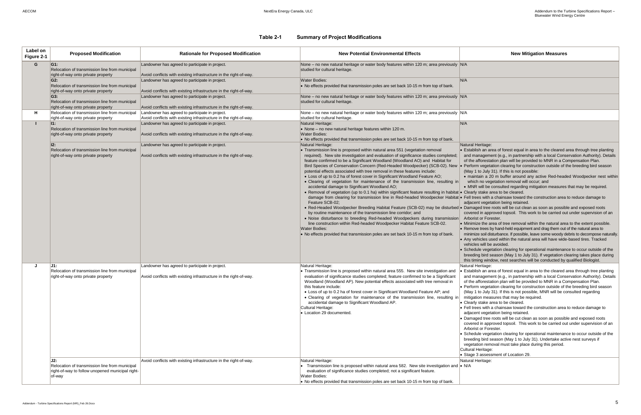ral Heritage:

tablish an area of forest equal in area to the cleared area through tree planting d management (e.g., in partnership with a local Conservation Authority). Details the afforestation plan will be provided to MNR in a Compensation Plan.

rform vegetation clearing for construction outside of the breeding bird season ay 1 to July 31). If this is not possible:

#### **Table 2-1 Summary of Project Modifications**

naintain a 20 m buffer around any active Red-headed Woodpecker nest within which no vegetation removal will occur; and

 MNR will be consulted regarding mitigation measures that may be required. arly stake area to be cleared.

I trees with a chainsaw toward the construction area to reduce damage to acent vegetation being retained.

maged tree roots will be cut clean as soon as possible and exposed roots vered in approved topsoil. This work to be carried out under supervision of an orist or Forester.

himize the area of tree removal within the natural area to the extent possible. move trees by hand-held equipment and drag them out of the natural area to

himize soil disturbance. If possible, leave some woody debris to decompose naturally. y vehicles used within the natural area will have wide-based tires. Tracked nicles will be avoided.

hedule vegetation clearing for operational maintenance to occur outside of the eding bird season (May 1 to July 31). If vegetation clearing takes place during s timing window, nest searches will be conducted by qualified Biologist. ral Heritage:

tablish an area of forest equal in area to the cleared area through tree planting d management (e.g., in partnership with a local Conservation Authority). Details the afforestation plan will be provided to MNR in a Compensation Plan.

rform vegetation clearing for construction outside of the breeding bird season ay 1 to July 31). If this is not possible, MNR will be consulted regarding tigation measures that may be required.

early stake area to be cleared.

I trees with a chainsaw toward the construction area to reduce damage to jacent vegetation being retained.

maged tree roots will be cut clean as soon as possible and exposed roots vered in approved topsoil. This work to be carried out under supervision of an porist or Forester.

hedule vegetation clearing for operational maintenance to occur outside of the eding bird season (May 1 to July 31). Undertake active nest surveys if getation removal must take place during this period.

Iral Heritage:

age 3 assessment of Location 29.

ral Heritage:

| Label on<br>Figure 2-1 | <b>Proposed Modification</b>                                                                                                       | <b>Rationale for Proposed Modification</b>                                                                                                                                                | <b>New Potential Environmental Effects</b>                                                                                                                                                                                                                                                                                                                                                                                                                                                                                                                                                                                                                                                                                                                                                                                                                                                                                                                                                                                                                                                                                                                                                                                                                                                                                                                                               |                                                                                                                                                                                                           |
|------------------------|------------------------------------------------------------------------------------------------------------------------------------|-------------------------------------------------------------------------------------------------------------------------------------------------------------------------------------------|------------------------------------------------------------------------------------------------------------------------------------------------------------------------------------------------------------------------------------------------------------------------------------------------------------------------------------------------------------------------------------------------------------------------------------------------------------------------------------------------------------------------------------------------------------------------------------------------------------------------------------------------------------------------------------------------------------------------------------------------------------------------------------------------------------------------------------------------------------------------------------------------------------------------------------------------------------------------------------------------------------------------------------------------------------------------------------------------------------------------------------------------------------------------------------------------------------------------------------------------------------------------------------------------------------------------------------------------------------------------------------------|-----------------------------------------------------------------------------------------------------------------------------------------------------------------------------------------------------------|
| G                      | G1:<br>Relocation of transmission line from municipal<br>right-of-way onto private property                                        | Landowner has agreed to participate in project.<br>Avoid conflicts with existing infrastructure in the right-of-way.                                                                      | None – no new natural heritage or water body features within 120 m; area previously N/A<br>studied for cultural heritage.                                                                                                                                                                                                                                                                                                                                                                                                                                                                                                                                                                                                                                                                                                                                                                                                                                                                                                                                                                                                                                                                                                                                                                                                                                                                |                                                                                                                                                                                                           |
|                        | $G2$ :<br>Relocation of transmission line from municipal<br>right-of-way onto private property                                     | Landowner has agreed to participate in project.<br>Avoid conflicts with existing infrastructure in the right-of-way.                                                                      | <b>Water Bodies:</b><br>• No effects provided that transmission poles are set back 10-15 m from top of bank.                                                                                                                                                                                                                                                                                                                                                                                                                                                                                                                                                                                                                                                                                                                                                                                                                                                                                                                                                                                                                                                                                                                                                                                                                                                                             | N/A                                                                                                                                                                                                       |
|                        | G3:<br>Relocation of transmission line from municipal<br>right-of-way onto private property                                        | Landowner has agreed to participate in project.<br>Avoid conflicts with existing infrastructure in the right-of-way.                                                                      | None – no new natural heritage or water body features within 120 m; area previously N/A<br>studied for cultural heritage.                                                                                                                                                                                                                                                                                                                                                                                                                                                                                                                                                                                                                                                                                                                                                                                                                                                                                                                                                                                                                                                                                                                                                                                                                                                                |                                                                                                                                                                                                           |
| н                      | Relocation of transmission line from municipal                                                                                     | Landowner has agreed to participate in project.                                                                                                                                           | None – no new natural heritage or water body features within 120 m; area previously N/A<br>studied for cultural heritage.                                                                                                                                                                                                                                                                                                                                                                                                                                                                                                                                                                                                                                                                                                                                                                                                                                                                                                                                                                                                                                                                                                                                                                                                                                                                |                                                                                                                                                                                                           |
| п                      | right-of-way onto private property<br>ll1:<br>Relocation of transmission line from municipal<br>right-of-way onto private property | Avoid conflicts with existing infrastructure in the right-of-way.<br>Landowner has agreed to participate in project.<br>Avoid conflicts with existing infrastructure in the right-of-way. | Natural Heritage:<br>• None - no new natural heritage features within 120 m.<br><b>Water Bodies:</b>                                                                                                                                                                                                                                                                                                                                                                                                                                                                                                                                                                                                                                                                                                                                                                                                                                                                                                                                                                                                                                                                                                                                                                                                                                                                                     | N/A                                                                                                                                                                                                       |
|                        | 12:<br>Relocation of transmission line from municipal<br>right-of-way onto private property                                        | Landowner has agreed to participate in project.<br>Avoid conflicts with existing infrastructure in the right-of-way.                                                                      | • No effects provided that transmission poles are set back 10-15 m from top of bank.<br>Natural Heritage:<br>• Transmission line is proposed within natural area 551 (vegetation removal<br>required). New site investigation and evaluation of significance studies completed;<br>feature confirmed to be a Significant Woodland (Woodland AO) and Habitat for<br>Bird Species of Conservation Concern (Red-Headed Woodpecker) (SCB-02). New • Per<br>potential effects associated with tree removal in these features include:<br>• Loss of up to 0.2 ha of forest cover in Significant Woodland Feature AO;<br>. Clearing of vegetation for maintenance of the transmission line, resulting in<br>accidental damage to Significant Woodland AO;<br>• Removal of vegetation (up to 0.1 ha) within significant feature resulting in habitat • Cle<br>damage from clearing for transmission line in Red-headed Woodpecker Habitat . Fell<br>Feature SCB-02;<br>• Red-Headed Woodpecker Breeding Habitat Feature (SCB-02) may be disturbed • Dar<br>by routine maintenance of the transmission line corridor; and<br>. Noise disturbance to breeding Red-headed Woodpeckers during transmission<br>line construction within Red-headed Woodpecker Habitat Feature SCB-02.<br><b>Water Bodies:</b><br>• No effects provided that transmission poles are set back 10-15 m from top of bank. | Natur<br>$\bullet$ Esta<br>and<br>of th<br>(Ma<br>$\bullet$ m<br>W<br>$\bullet$ M<br>adja<br>COV<br>Arb<br>$\bullet$ Min<br>$\bullet$ Ren<br>min<br>$\bullet$ Any<br>veh<br>$\bullet$ Sch<br>bre<br>this  |
| J                      | J1:<br>Relocation of transmission line from municipal<br>right-of-way onto private property                                        | Landowner has agreed to participate in project.<br>Avoid conflicts with existing infrastructure in the right-of-way.                                                                      | Natural Heritage:<br>• Transmission line is proposed within natural area 555. New site investigation and<br>evaluation of significance studies completed; feature confirmed to be a Significant<br>Woodland (Woodland AP). New potential effects associated with tree removal in<br>this feature include:<br>• Loss of up to 0.2 ha of forest cover in Significant Woodland Feature AP; and<br>• Clearing of vegetation for maintenance of the transmission line, resulting in<br>accidental damage to Significant Woodland AP.<br>Cultural Heritage:<br>• Location 29 documented.                                                                                                                                                                                                                                                                                                                                                                                                                                                                                                                                                                                                                                                                                                                                                                                                       | Natur<br>$\cdot$ Esta<br>and<br>of tl<br>$\bullet$ Per<br>(Ma<br>miti<br>$\bullet$ Cle<br>$\bullet$ Fell<br>adja<br>$\bullet$ Dar<br>COV<br>Arb<br>$\bullet$ Sch<br>bre<br>veg<br>Cultur<br>$\bullet$ Sta |
|                        | J2:<br>Relocation of transmission line from municipal<br>right-of-way to follow unopened municipal right-<br>of-way                | Avoid conflicts with existing infrastructure in the right-of-way.                                                                                                                         | Natural Heritage:<br>• Transmission line is proposed within natural area 582. New site investigation and $\cdot$ N/A<br>evaluation of significance studies completed; not a significant feature.<br>Water Bodies:<br>• No effects provided that transmission poles are set back 10-15 m from top of bank.                                                                                                                                                                                                                                                                                                                                                                                                                                                                                                                                                                                                                                                                                                                                                                                                                                                                                                                                                                                                                                                                                | Natur                                                                                                                                                                                                     |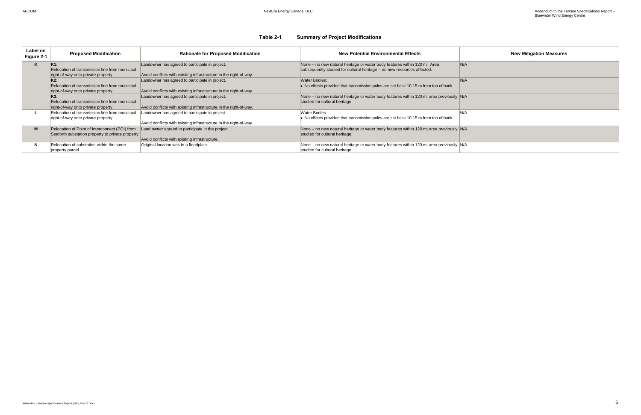### **Table 2-1 Summary of Project Modifications**

| Label on<br>Figure 2-1 | <b>Proposed Modification</b>                                                                            | <b>Rationale for Proposed Modification</b>                                                                           | <b>New Potential Environmental Effects</b>                                                                                                          |      |
|------------------------|---------------------------------------------------------------------------------------------------------|----------------------------------------------------------------------------------------------------------------------|-----------------------------------------------------------------------------------------------------------------------------------------------------|------|
| K                      | K <sub>1:</sub><br>Relocation of transmission line from municipal<br>right-of-way onto private property | Landowner has agreed to participate in project.<br>Avoid conflicts with existing infrastructure in the right-of-way. | None - no new natural heritage or water body features within 120 m. Area<br>subsequently studied for cultural heritage - no new resources affected. | N/A  |
|                        | K2:<br>Relocation of transmission line from municipal<br>right-of-way onto private property             | Landowner has agreed to participate in project.<br>Avoid conflicts with existing infrastructure in the right-of-way. | <b>Water Bodies:</b><br>• No effects provided that transmission poles are set back 10-15 m from top of bank.                                        | N/A  |
|                        | K3:<br>Relocation of transmission line from municipal<br>right-of-way onto private property             | Landowner has agreed to participate in project.<br>Avoid conflicts with existing infrastructure in the right-of-way. | None – no new natural heritage or water body features within 120 m; area previously N/A<br>studied for cultural heritage.                           |      |
|                        | Relocation of transmission line from municipal<br>right-of-way onto private property                    | Landowner has agreed to participate in project.<br>Avoid conflicts with existing infrastructure in the right-of-way. | Water Bodies:<br>$\bullet$ No effects provided that transmission poles are set back 10-15 m from top of bank.                                       | IN/A |
| M                      | Relocation of Point of Interconnect (POI) from<br>Seaforth substation property to private property      | Land owner agreed to participate in the project<br>Avoid conflicts with existing infrastructure.                     | None - no new natural heritage or water body features within 120 m; area previously N/A<br>studied for cultural heritage.                           |      |
| N                      | Relocation of substation within the same<br>property parcel                                             | Original location was in a floodplain.                                                                               | None – no new natural heritage or water body features within 120 m; area previously N/A<br>studied for cultural heritage.                           |      |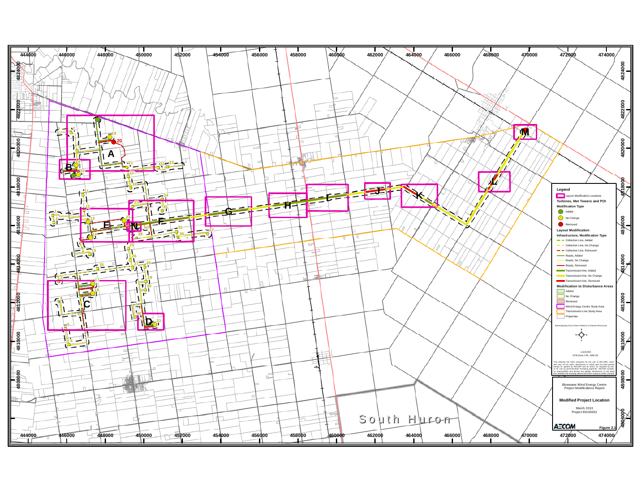